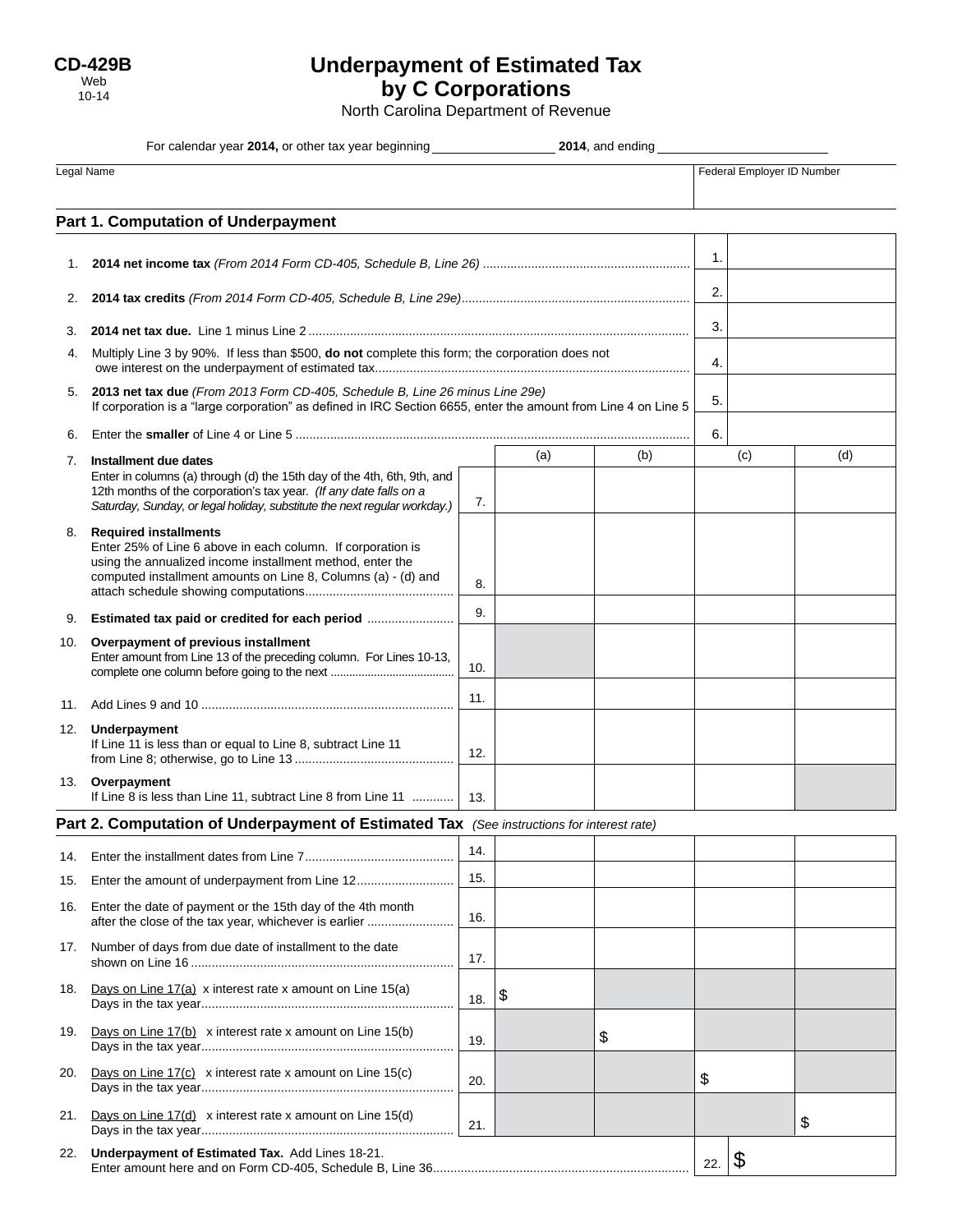# **Underpayment of Estimated Tax by C Corporations**

North Carolina Department of Revenue

| For calendar year 2014, or other tax year beginning _______________<br>2014, and ending   |                                                                                                                                                                                                                            |     |     |                            |                              |     |     |
|-------------------------------------------------------------------------------------------|----------------------------------------------------------------------------------------------------------------------------------------------------------------------------------------------------------------------------|-----|-----|----------------------------|------------------------------|-----|-----|
| Legal Name                                                                                |                                                                                                                                                                                                                            |     |     | Federal Employer ID Number |                              |     |     |
| Part 1. Computation of Underpayment                                                       |                                                                                                                                                                                                                            |     |     |                            |                              |     |     |
| 1.                                                                                        |                                                                                                                                                                                                                            |     |     |                            | 1.                           |     |     |
| 2.                                                                                        |                                                                                                                                                                                                                            |     |     |                            | 2.                           |     |     |
| 3.                                                                                        |                                                                                                                                                                                                                            |     |     |                            | 3.                           |     |     |
| 4.                                                                                        | Multiply Line 3 by 90%. If less than \$500, do not complete this form; the corporation does not                                                                                                                            |     |     |                            | 4.                           |     |     |
| 5.                                                                                        | 2013 net tax due (From 2013 Form CD-405, Schedule B, Line 26 minus Line 29e)<br>If corporation is a "large corporation" as defined in IRC Section 6655, enter the amount from Line 4 on Line 5                             |     |     |                            | 5.                           |     |     |
|                                                                                           |                                                                                                                                                                                                                            |     |     |                            | 6.                           |     |     |
| 7.                                                                                        | Installment due dates                                                                                                                                                                                                      |     | (a) | (b)                        |                              | (c) | (d) |
|                                                                                           | Enter in columns (a) through (d) the 15th day of the 4th, 6th, 9th, and<br>12th months of the corporation's tax year. (If any date falls on a<br>Saturday, Sunday, or legal holiday, substitute the next regular workday.) | 7.  |     |                            |                              |     |     |
|                                                                                           | 8. Required installments<br>Enter 25% of Line 6 above in each column. If corporation is<br>using the annualized income installment method, enter the<br>computed installment amounts on Line 8, Columns (a) - (d) and      | 8.  |     |                            |                              |     |     |
| 9.                                                                                        | Estimated tax paid or credited for each period                                                                                                                                                                             | 9.  |     |                            |                              |     |     |
| 10.                                                                                       | Overpayment of previous installment<br>Enter amount from Line 13 of the preceding column. For Lines 10-13,                                                                                                                 | 10. |     |                            |                              |     |     |
| 11.                                                                                       |                                                                                                                                                                                                                            | 11. |     |                            |                              |     |     |
|                                                                                           | 12. Underpayment<br>If Line 11 is less than or equal to Line 8, subtract Line 11                                                                                                                                           | 12. |     |                            |                              |     |     |
| 13.                                                                                       | Overpayment<br>If Line 8 is less than Line 11, subtract Line 8 from Line 11                                                                                                                                                | 13. |     |                            |                              |     |     |
| Part 2. Computation of Underpayment of Estimated Tax (See instructions for interest rate) |                                                                                                                                                                                                                            |     |     |                            |                              |     |     |
| 14.                                                                                       |                                                                                                                                                                                                                            | 14. |     |                            |                              |     |     |
| 15.                                                                                       | Enter the amount of underpayment from Line 12                                                                                                                                                                              | 15. |     |                            |                              |     |     |
| 16.                                                                                       | Enter the date of payment or the 15th day of the 4th month<br>after the close of the tax year, whichever is earlier                                                                                                        | 16. |     |                            |                              |     |     |
| 17.                                                                                       | Number of days from due date of installment to the date                                                                                                                                                                    | 17. |     |                            |                              |     |     |
| 18.                                                                                       | Days on Line 17(a) x interest rate x amount on Line 15(a)                                                                                                                                                                  | 18. | \$  |                            |                              |     |     |
| 19.                                                                                       | Days on Line 17(b) x interest rate x amount on Line 15(b)                                                                                                                                                                  | 19. |     | \$                         |                              |     |     |
| 20.                                                                                       | Days on Line $17(c)$ x interest rate x amount on Line 15(c)                                                                                                                                                                | 20. |     |                            | \$                           |     |     |
| 21.                                                                                       | Days on Line $17(d)$ x interest rate x amount on Line $15(d)$                                                                                                                                                              | 21. |     |                            |                              |     | \$  |
| 22.                                                                                       | Underpayment of Estimated Tax. Add Lines 18-21.                                                                                                                                                                            |     |     |                            | $\boldsymbol{\theta}$<br>22. |     |     |